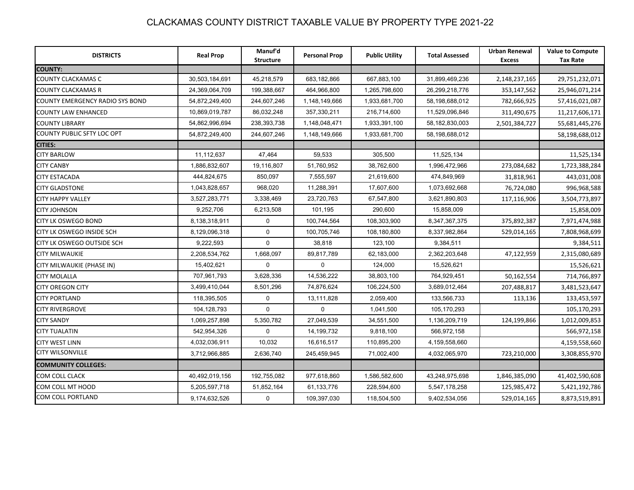| <b>DISTRICTS</b>                       | <b>Real Prop</b> | Manuf'd<br><b>Structure</b> | <b>Personal Prop</b> | <b>Public Utility</b> | <b>Total Assessed</b> | <b>Urban Renewal</b><br><b>Excess</b> | <b>Value to Compute</b><br><b>Tax Rate</b> |
|----------------------------------------|------------------|-----------------------------|----------------------|-----------------------|-----------------------|---------------------------------------|--------------------------------------------|
| <b>COUNTY:</b>                         |                  |                             |                      |                       |                       |                                       |                                            |
| <b>COUNTY CLACKAMAS C</b>              | 30,503,184,691   | 45,218,579                  | 683,182,866          | 667,883,100           | 31,899,469,236        | 2,148,237,165                         | 29,751,232,071                             |
| <b>COUNTY CLACKAMAS R</b>              | 24,369,064,709   | 199,388,667                 | 464,966,800          | 1,265,798,600         | 26,299,218,776        | 353,147,562                           | 25,946,071,214                             |
| <b>COUNTY EMERGENCY RADIO SYS BOND</b> | 54,872,249,400   | 244,607,246                 | 1,148,149,666        | 1,933,681,700         | 58,198,688,012        | 782,666,925                           | 57,416,021,087                             |
| <b>COUNTY LAW ENHANCED</b>             | 10,869,019,787   | 86,032,248                  | 357,330,211          | 216,714,600           | 11,529,096,846        | 311,490,675                           | 11,217,606,171                             |
| <b>COUNTY LIBRARY</b>                  | 54,862,996,694   | 238,393,738                 | 1,148,048,471        | 1,933,391,100         | 58,182,830,003        | 2,501,384,727                         | 55,681,445,276                             |
| COUNTY PUBLIC SFTY LOC OPT             | 54,872,249,400   | 244,607,246                 | 1,148,149,666        | 1,933,681,700         | 58,198,688,012        |                                       | 58,198,688,012                             |
| <b>CITIES:</b>                         |                  |                             |                      |                       |                       |                                       |                                            |
| <b>CITY BARLOW</b>                     | 11,112,637       | 47,464                      | 59,533               | 305,500               | 11,525,134            |                                       | 11,525,134                                 |
| <b>CITY CANBY</b>                      | 1,886,832,607    | 19,116,807                  | 51,760,952           | 38,762,600            | 1,996,472,966         | 273,084,682                           | 1,723,388,284                              |
| <b>CITY ESTACADA</b>                   | 444,824,675      | 850,097                     | 7,555,597            | 21,619,600            | 474,849,969           | 31,818,961                            | 443,031,008                                |
| <b>CITY GLADSTONE</b>                  | 1,043,828,657    | 968,020                     | 11,288,391           | 17,607,600            | 1,073,692,668         | 76,724,080                            | 996,968,588                                |
| <b>CITY HAPPY VALLEY</b>               | 3,527,283,771    | 3,338,469                   | 23,720,763           | 67,547,800            | 3,621,890,803         | 117,116,906                           | 3,504,773,897                              |
| <b>CITY JOHNSON</b>                    | 9,252,706        | 6,213,508                   | 101,195              | 290,600               | 15,858,009            |                                       | 15,858,009                                 |
| <b>CITY LK OSWEGO BOND</b>             | 8,138,318,911    | $\mathbf 0$                 | 100,744,564          | 108,303,900           | 8,347,367,375         | 375,892,387                           | 7,971,474,988                              |
| <b>CITY LK OSWEGO INSIDE SCH</b>       | 8,129,096,318    | $\mathbf 0$                 | 100,705,746          | 108,180,800           | 8,337,982,864         | 529,014,165                           | 7,808,968,699                              |
| <b>CITY LK OSWEGO OUTSIDE SCH</b>      | 9,222,593        | $\mathbf 0$                 | 38,818               | 123,100               | 9,384,511             |                                       | 9,384,511                                  |
| <b>CITY MILWAUKIE</b>                  | 2,208,534,762    | 1,668,097                   | 89,817,789           | 62,183,000            | 2,362,203,648         | 47,122,959                            | 2,315,080,689                              |
| CITY MILWAUKIE (PHASE IN)              | 15,402,621       | $\mathbf 0$                 | $\mathbf 0$          | 124,000               | 15,526,621            |                                       | 15,526,621                                 |
| <b>CITY MOLALLA</b>                    | 707,961,793      | 3,628,336                   | 14,536,222           | 38,803,100            | 764,929,451           | 50,162,554                            | 714,766,897                                |
| <b>CITY OREGON CITY</b>                | 3,499,410,044    | 8,501,296                   | 74,876,624           | 106,224,500           | 3,689,012,464         | 207,488,817                           | 3,481,523,647                              |
| <b>CITY PORTLAND</b>                   | 118,395,505      | $\mathbf 0$                 | 13,111,828           | 2,059,400             | 133,566,733           | 113,136                               | 133,453,597                                |
| <b>CITY RIVERGROVE</b>                 | 104,128,793      | $\Omega$                    | $\Omega$             | 1,041,500             | 105,170,293           |                                       | 105,170,293                                |
| <b>CITY SANDY</b>                      | 1,069,257,898    | 5,350,782                   | 27,049,539           | 34,551,500            | 1,136,209,719         | 124,199,866                           | 1,012,009,853                              |
| <b>CITY TUALATIN</b>                   | 542,954,326      | $\Omega$                    | 14, 199, 732         | 9,818,100             | 566,972,158           |                                       | 566,972,158                                |
| <b>CITY WEST LINN</b>                  | 4,032,036,911    | 10,032                      | 16,616,517           | 110,895,200           | 4,159,558,660         |                                       | 4,159,558,660                              |
| <b>CITY WILSONVILLE</b>                | 3,712,966,885    | 2,636,740                   | 245,459,945          | 71,002,400            | 4,032,065,970         | 723,210,000                           | 3,308,855,970                              |
| <b>COMMUNITY COLLEGES:</b>             |                  |                             |                      |                       |                       |                                       |                                            |
| <b>COM COLL CLACK</b>                  | 40,492,019,156   | 192,755,082                 | 977,618,860          | 1,586,582,600         | 43,248,975,698        | 1,846,385,090                         | 41,402,590,608                             |
| COM COLL MT HOOD                       | 5,205,597,718    | 51,852,164                  | 61,133,776           | 228,594,600           | 5,547,178,258         | 125,985,472                           | 5,421,192,786                              |
| <b>COM COLL PORTLAND</b>               | 9,174,632,526    | $\mathbf 0$                 | 109,397,030          | 118,504,500           | 9,402,534,056         | 529,014,165                           | 8,873,519,891                              |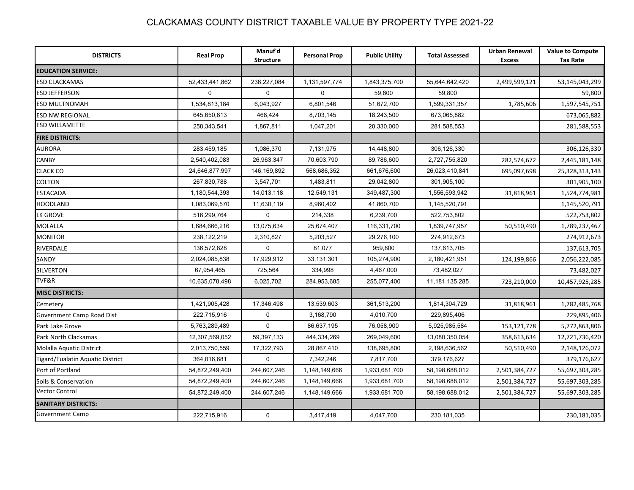| <b>DISTRICTS</b>                 | <b>Real Prop</b> | Manuf'd<br><b>Structure</b> | <b>Personal Prop</b> | <b>Public Utility</b> | <b>Total Assessed</b> | <b>Urban Renewal</b><br><b>Excess</b> | <b>Value to Compute</b><br><b>Tax Rate</b> |
|----------------------------------|------------------|-----------------------------|----------------------|-----------------------|-----------------------|---------------------------------------|--------------------------------------------|
| <b>EDUCATION SERVICE:</b>        |                  |                             |                      |                       |                       |                                       |                                            |
| ESD CLACKAMAS                    | 52,433,441,862   | 236,227,084                 | 1,131,597,774        | 1,843,375,700         | 55,644,642,420        | 2,499,599,121                         | 53,145,043,299                             |
| <b>ESD JEFFERSON</b>             | $\Omega$         | $\Omega$                    | $\Omega$             | 59,800                | 59,800                |                                       | 59,800                                     |
| <b>ESD MULTNOMAH</b>             | 1,534,813,184    | 6,043,927                   | 6,801,546            | 51,672,700            | 1,599,331,357         | 1,785,606                             | 1,597,545,751                              |
| <b>ESD NW REGIONAL</b>           | 645,650,813      | 468,424                     | 8,703,145            | 18,243,500            | 673,065,882           |                                       | 673,065,882                                |
| <b>ESD WILLAMETTE</b>            | 258,343,541      | 1,867,811                   | 1,047,201            | 20,330,000            | 281,588,553           |                                       | 281,588,553                                |
| <b>FIRE DISTRICTS:</b>           |                  |                             |                      |                       |                       |                                       |                                            |
| <b>AURORA</b>                    | 283,459,185      | 1,086,370                   | 7,131,975            | 14,448,800            | 306,126,330           |                                       | 306,126,330                                |
| <b>CANBY</b>                     | 2,540,402,083    | 26,963,347                  | 70,603,790           | 89,786,600            | 2,727,755,820         | 282,574,672                           | 2,445,181,148                              |
| <b>CLACK CO</b>                  | 24,646,877,997   | 146, 169, 892               | 568,686,352          | 661,676,600           | 26,023,410,841        | 695,097,698                           | 25,328,313,143                             |
| <b>COLTON</b>                    | 267,830,788      | 3,547,701                   | 1,483,811            | 29,042,800            | 301,905,100           |                                       | 301,905,100                                |
| <b>ESTACADA</b>                  | 1,180,544,393    | 14,013,118                  | 12,549,131           | 349,487,300           | 1,556,593,942         | 31,818,961                            | 1,524,774,981                              |
| HOODLAND                         | 1,083,069,570    | 11,630,119                  | 8,960,402            | 41,860,700            | 1,145,520,791         |                                       | 1,145,520,791                              |
| <b>LK GROVE</b>                  | 516,299,764      | $\mathbf{0}$                | 214,338              | 6,239,700             | 522,753,802           |                                       | 522,753,802                                |
| <b>MOLALLA</b>                   | 1,684,666,216    | 13,075,634                  | 25,674,407           | 116,331,700           | 1,839,747,957         | 50,510,490                            | 1,789,237,467                              |
| <b>MONITOR</b>                   | 238,122,219      | 2,310,827                   | 5,203,527            | 29,276,100            | 274,912,673           |                                       | 274,912,673                                |
| RIVERDALE                        | 136,572,828      | 0                           | 81,077               | 959,800               | 137,613,705           |                                       | 137,613,705                                |
| SANDY                            | 2,024,085,838    | 17,929,912                  | 33, 131, 301         | 105,274,900           | 2,180,421,951         | 124,199,866                           | 2,056,222,085                              |
| <b>SILVERTON</b>                 | 67,954,465       | 725,564                     | 334,998              | 4,467,000             | 73,482,027            |                                       | 73,482,027                                 |
| TVF&R                            | 10,635,078,498   | 6,025,702                   | 284,953,685          | 255,077,400           | 11, 181, 135, 285     | 723,210,000                           | 10,457,925,285                             |
| <b>MISC DISTRICTS:</b>           |                  |                             |                      |                       |                       |                                       |                                            |
| Cemetery                         | 1,421,905,428    | 17,346,498                  | 13,539,603           | 361,513,200           | 1,814,304,729         | 31,818,961                            | 1,782,485,768                              |
| Government Camp Road Dist        | 222,715,916      | $\mathbf 0$                 | 3,168,790            | 4,010,700             | 229,895,406           |                                       | 229,895,406                                |
| Park Lake Grove                  | 5,763,289,489    | $\mathbf 0$                 | 86,637,195           | 76,058,900            | 5,925,985,584         | 153,121,778                           | 5,772,863,806                              |
| Park North Clackamas             | 12,307,569,052   | 59,397,133                  | 444,334,269          | 269,049,600           | 13,080,350,054        | 358,613,634                           | 12,721,736,420                             |
| Molalla Aquatic District         | 2,013,750,559    | 17,322,793                  | 28,867,410           | 138,695,800           | 2,198,636,562         | 50,510,490                            | 2,148,126,072                              |
| Tigard/Tualatin Aquatic District | 364,016,681      | $\mathbf 0$                 | 7,342,246            | 7,817,700             | 379,176,627           |                                       | 379,176,627                                |
| Port of Portland                 | 54,872,249,400   | 244,607,246                 | 1,148,149,666        | 1,933,681,700         | 58,198,688,012        | 2,501,384,727                         | 55,697,303,285                             |
| Soils & Conservation             | 54,872,249,400   | 244,607,246                 | 1,148,149,666        | 1,933,681,700         | 58,198,688,012        | 2,501,384,727                         | 55,697,303,285                             |
| Vector Control                   | 54,872,249,400   | 244,607,246                 | 1,148,149,666        | 1,933,681,700         | 58,198,688,012        | 2,501,384,727                         | 55,697,303,285                             |
| <b>SANITARY DISTRICTS:</b>       |                  |                             |                      |                       |                       |                                       |                                            |
| Government Camp                  | 222,715,916      | $\mathbf 0$                 | 3,417,419            | 4,047,700             | 230, 181, 035         |                                       | 230,181,035                                |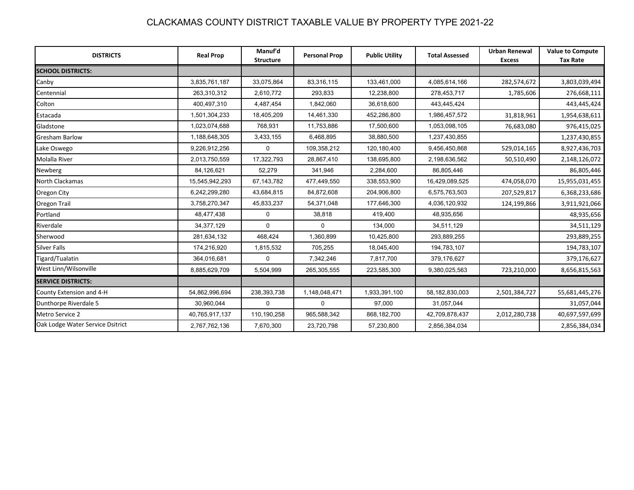| <b>DISTRICTS</b>                 | <b>Real Prop</b> | Manuf'd<br><b>Structure</b> | <b>Personal Prop</b> | <b>Public Utility</b> | <b>Total Assessed</b> | <b>Urban Renewal</b><br><b>Excess</b> | <b>Value to Compute</b><br><b>Tax Rate</b> |
|----------------------------------|------------------|-----------------------------|----------------------|-----------------------|-----------------------|---------------------------------------|--------------------------------------------|
| <b>SCHOOL DISTRICTS:</b>         |                  |                             |                      |                       |                       |                                       |                                            |
| Canby                            | 3,835,761,187    | 33,075,864                  | 83,316,115           | 133,461,000           | 4,085,614,166         | 282,574,672                           | 3,803,039,494                              |
| Centennial                       | 263,310,312      | 2,610,772                   | 293,833              | 12,238,800            | 278,453,717           | 1,785,606                             | 276,668,111                                |
| Colton                           | 400,497,310      | 4,487,454                   | 1,842,060            | 36,618,600            | 443,445,424           |                                       | 443,445,424                                |
| Estacada                         | 1,501,304,233    | 18,405,209                  | 14,461,330           | 452,286,800           | 1,986,457,572         | 31,818,961                            | 1,954,638,611                              |
| Gladstone                        | 1,023,074,688    | 768,931                     | 11,753,886           | 17,500,600            | 1,053,098,105         | 76,683,080                            | 976,415,025                                |
| <b>Gresham Barlow</b>            | 1,188,648,305    | 3,433,155                   | 6,468,895            | 38,880,500            | 1,237,430,855         |                                       | 1,237,430,855                              |
| Lake Oswego                      | 9,226,912,256    | $\mathbf 0$                 | 109,358,212          | 120,180,400           | 9,456,450,868         | 529,014,165                           | 8,927,436,703                              |
| Molalla River                    | 2,013,750,559    | 17,322,793                  | 28,867,410           | 138,695,800           | 2,198,636,562         | 50,510,490                            | 2,148,126,072                              |
| Newberg                          | 84,126,621       | 52,279                      | 341,946              | 2,284,600             | 86,805,446            |                                       | 86,805,446                                 |
| North Clackamas                  | 15,545,942,293   | 67,143,782                  | 477,449,550          | 338,553,900           | 16,429,089,525        | 474,058,070                           | 15,955,031,455                             |
| Oregon City                      | 6,242,299,280    | 43,684,815                  | 84,872,608           | 204,906,800           | 6,575,763,503         | 207,529,817                           | 6,368,233,686                              |
| Oregon Trail                     | 3,758,270,347    | 45,833,237                  | 54,371,048           | 177,646,300           | 4,036,120,932         | 124,199,866                           | 3,911,921,066                              |
| Portland                         | 48,477,438       | $\mathbf 0$                 | 38,818               | 419.400               | 48,935,656            |                                       | 48,935,656                                 |
| Riverdale                        | 34, 377, 129     | $\Omega$                    | $\Omega$             | 134,000               | 34,511,129            |                                       | 34,511,129                                 |
| Sherwood                         | 281,634,132      | 468,424                     | 1,360,899            | 10,425,800            | 293,889,255           |                                       | 293,889,255                                |
| <b>Silver Falls</b>              | 174,216,920      | 1,815,532                   | 705,255              | 18,045,400            | 194,783,107           |                                       | 194,783,107                                |
| Tigard/Tualatin                  | 364,016,681      | $\Omega$                    | 7,342,246            | 7,817,700             | 379,176,627           |                                       | 379,176,627                                |
| West Linn/Wilsonville            | 8,885,629,709    | 5,504,999                   | 265,305,555          | 223,585,300           | 9,380,025,563         | 723,210,000                           | 8,656,815,563                              |
| <b>SERVICE DISTRICTS:</b>        |                  |                             |                      |                       |                       |                                       |                                            |
| County Extension and 4-H         | 54,862,996,694   | 238,393,738                 | 1,148,048,471        | 1,933,391,100         | 58,182,830,003        | 2,501,384,727                         | 55,681,445,276                             |
| Dunthorpe Riverdale 5            | 30,960,044       | $\Omega$                    | $\Omega$             | 97,000                | 31,057,044            |                                       | 31,057,044                                 |
| Metro Service 2                  | 40,765,917,137   | 110,190,258                 | 965,588,342          | 868, 182, 700         | 42,709,878,437        | 2,012,280,738                         | 40,697,597,699                             |
| Oak Lodge Water Service Dsitrict | 2,767,762,136    | 7,670,300                   | 23,720,798           | 57,230,800            | 2,856,384,034         |                                       | 2,856,384,034                              |